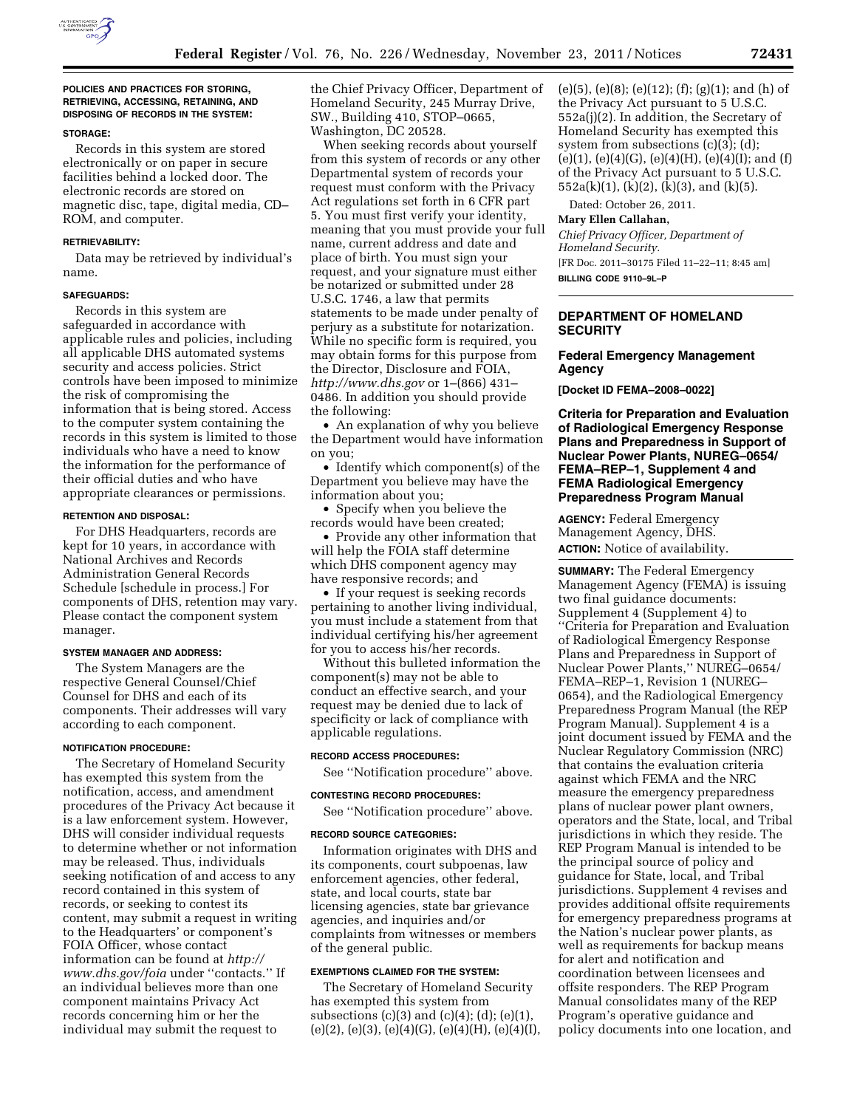

### **POLICIES AND PRACTICES FOR STORING, RETRIEVING, ACCESSING, RETAINING, AND DISPOSING OF RECORDS IN THE SYSTEM:**

## **STORAGE:**

Records in this system are stored electronically or on paper in secure facilities behind a locked door. The electronic records are stored on magnetic disc, tape, digital media, CD– ROM, and computer.

### **RETRIEVABILITY:**

Data may be retrieved by individual's name.

### **SAFEGUARDS:**

Records in this system are safeguarded in accordance with applicable rules and policies, including all applicable DHS automated systems security and access policies. Strict controls have been imposed to minimize the risk of compromising the information that is being stored. Access to the computer system containing the records in this system is limited to those individuals who have a need to know the information for the performance of their official duties and who have appropriate clearances or permissions.

### **RETENTION AND DISPOSAL:**

For DHS Headquarters, records are kept for 10 years, in accordance with National Archives and Records Administration General Records Schedule [schedule in process.] For components of DHS, retention may vary. Please contact the component system manager.

## **SYSTEM MANAGER AND ADDRESS:**

The System Managers are the respective General Counsel/Chief Counsel for DHS and each of its components. Their addresses will vary according to each component.

### **NOTIFICATION PROCEDURE:**

The Secretary of Homeland Security has exempted this system from the notification, access, and amendment procedures of the Privacy Act because it is a law enforcement system. However, DHS will consider individual requests to determine whether or not information may be released. Thus, individuals seeking notification of and access to any record contained in this system of records, or seeking to contest its content, may submit a request in writing to the Headquarters' or component's FOIA Officer, whose contact information can be found at *[http://](http://www.dhs.gov/foia)  [www.dhs.gov/foia](http://www.dhs.gov/foia)* under ''contacts.'' If an individual believes more than one component maintains Privacy Act records concerning him or her the individual may submit the request to

the Chief Privacy Officer, Department of Homeland Security, 245 Murray Drive, SW., Building 410, STOP–0665, Washington, DC 20528.

When seeking records about yourself from this system of records or any other Departmental system of records your request must conform with the Privacy Act regulations set forth in 6 CFR part 5. You must first verify your identity, meaning that you must provide your full name, current address and date and place of birth. You must sign your request, and your signature must either be notarized or submitted under 28 U.S.C. 1746, a law that permits statements to be made under penalty of perjury as a substitute for notarization. While no specific form is required, you may obtain forms for this purpose from the Director, Disclosure and FOIA, *<http://www.dhs.gov>* or 1–(866) 431– 0486. In addition you should provide the following:

• An explanation of why you believe the Department would have information on you;

• Identify which component(s) of the Department you believe may have the information about you;

• Specify when you believe the records would have been created;

• Provide any other information that will help the FOIA staff determine which DHS component agency may have responsive records; and

• If your request is seeking records pertaining to another living individual, you must include a statement from that individual certifying his/her agreement for you to access his/her records.

Without this bulleted information the component(s) may not be able to conduct an effective search, and your request may be denied due to lack of specificity or lack of compliance with applicable regulations.

## **RECORD ACCESS PROCEDURES:**

See ''Notification procedure'' above.

## **CONTESTING RECORD PROCEDURES:**

See ''Notification procedure'' above.

### **RECORD SOURCE CATEGORIES:**

Information originates with DHS and its components, court subpoenas, law enforcement agencies, other federal, state, and local courts, state bar licensing agencies, state bar grievance agencies, and inquiries and/or complaints from witnesses or members of the general public.

## **EXEMPTIONS CLAIMED FOR THE SYSTEM:**

The Secretary of Homeland Security has exempted this system from subsections  $(c)(3)$  and  $(c)(4)$ ;  $(d)$ ;  $(e)(1)$ ,  $(e)(2)$ ,  $(e)(3)$ ,  $(e)(4)(G)$ ,  $(e)(4)(H)$ ,  $(e)(4)(I)$ ,  $(e)(5)$ ,  $(e)(8)$ ;  $(e)(12)$ ;  $(f)$ ;  $(g)(1)$ ; and  $(h)$  of the Privacy Act pursuant to 5 U.S.C. 552a(j)(2). In addition, the Secretary of Homeland Security has exempted this system from subsections (c)(3); (d);  $(e)(1), (e)(4)(G), (e)(4)(H), (e)(4)(I);$  and  $(f)$ of the Privacy Act pursuant to 5 U.S.C. 552a(k)(1), (k)(2), (k)(3), and (k)(5).

Dated: October 26, 2011.

**Mary Ellen Callahan,** 

*Chief Privacy Officer, Department of Homeland Security.*  [FR Doc. 2011–30175 Filed 11–22–11; 8:45 am] **BILLING CODE 9110–9L–P** 

## **DEPARTMENT OF HOMELAND SECURITY**

# **Federal Emergency Management Agency**

**[Docket ID FEMA–2008–0022]** 

**Criteria for Preparation and Evaluation of Radiological Emergency Response Plans and Preparedness in Support of Nuclear Power Plants, NUREG–0654/ FEMA–REP–1, Supplement 4 and FEMA Radiological Emergency Preparedness Program Manual** 

**AGENCY:** Federal Emergency Management Agency, DHS. **ACTION:** Notice of availability.

**SUMMARY:** The Federal Emergency Management Agency (FEMA) is issuing two final guidance documents: Supplement 4 (Supplement 4) to ''Criteria for Preparation and Evaluation of Radiological Emergency Response Plans and Preparedness in Support of Nuclear Power Plants,'' NUREG–0654/ FEMA–REP–1, Revision 1 (NUREG– 0654), and the Radiological Emergency Preparedness Program Manual (the REP Program Manual). Supplement 4 is a joint document issued by FEMA and the Nuclear Regulatory Commission (NRC) that contains the evaluation criteria against which FEMA and the NRC measure the emergency preparedness plans of nuclear power plant owners, operators and the State, local, and Tribal jurisdictions in which they reside. The REP Program Manual is intended to be the principal source of policy and guidance for State, local, and Tribal jurisdictions. Supplement 4 revises and provides additional offsite requirements for emergency preparedness programs at the Nation's nuclear power plants, as well as requirements for backup means for alert and notification and coordination between licensees and offsite responders. The REP Program Manual consolidates many of the REP Program's operative guidance and policy documents into one location, and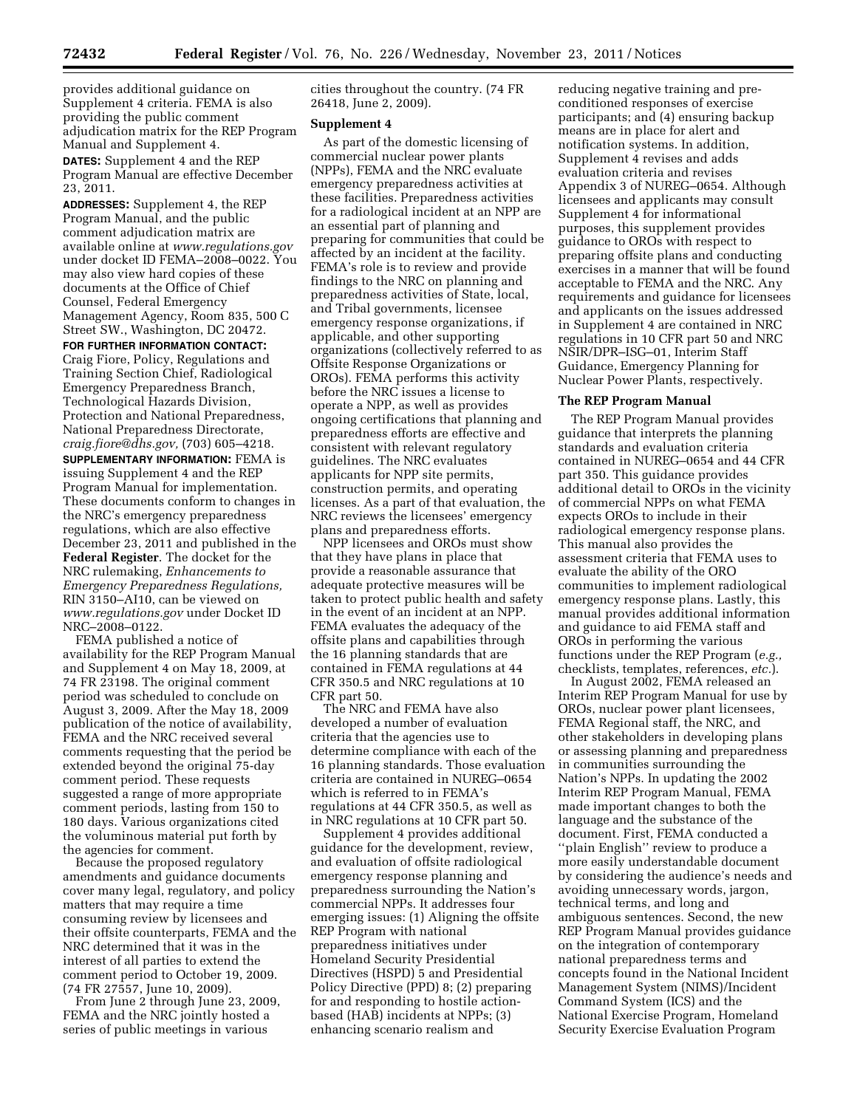provides additional guidance on Supplement 4 criteria. FEMA is also providing the public comment adjudication matrix for the REP Program Manual and Supplement 4.

**DATES:** Supplement 4 and the REP Program Manual are effective December 23, 2011.

**ADDRESSES:** Supplement 4, the REP Program Manual, and the public comment adjudication matrix are available online at *[www.regulations.gov](http://www.regulations.gov)*  under docket ID FEMA–2008–0022. You may also view hard copies of these documents at the Office of Chief Counsel, Federal Emergency Management Agency, Room 835, 500 C Street SW., Washington, DC 20472.

### **FOR FURTHER INFORMATION CONTACT:**

Craig Fiore, Policy, Regulations and Training Section Chief, Radiological Emergency Preparedness Branch, Technological Hazards Division, Protection and National Preparedness, National Preparedness Directorate, *[craig.fiore@dhs.gov,](mailto:craig.fiore@dhs.gov)* (703) 605–4218. **SUPPLEMENTARY INFORMATION:** FEMA is issuing Supplement 4 and the REP Program Manual for implementation. These documents conform to changes in the NRC's emergency preparedness regulations, which are also effective December 23, 2011 and published in the **Federal Register**. The docket for the NRC rulemaking, *Enhancements to Emergency Preparedness Regulations,*  RIN 3150–AI10, can be viewed on *[www.regulations.gov](http://www.regulations.gov)* under Docket ID NRC–2008–0122.

FEMA published a notice of availability for the REP Program Manual and Supplement 4 on May 18, 2009, at 74 FR 23198. The original comment period was scheduled to conclude on August 3, 2009. After the May 18, 2009 publication of the notice of availability, FEMA and the NRC received several comments requesting that the period be extended beyond the original 75-day comment period. These requests suggested a range of more appropriate comment periods, lasting from 150 to 180 days. Various organizations cited the voluminous material put forth by the agencies for comment.

Because the proposed regulatory amendments and guidance documents cover many legal, regulatory, and policy matters that may require a time consuming review by licensees and their offsite counterparts, FEMA and the NRC determined that it was in the interest of all parties to extend the comment period to October 19, 2009. (74 FR 27557, June 10, 2009).

From June 2 through June 23, 2009, FEMA and the NRC jointly hosted a series of public meetings in various

cities throughout the country. (74 FR 26418, June 2, 2009).

### **Supplement 4**

As part of the domestic licensing of commercial nuclear power plants (NPPs), FEMA and the NRC evaluate emergency preparedness activities at these facilities. Preparedness activities for a radiological incident at an NPP are an essential part of planning and preparing for communities that could be affected by an incident at the facility. FEMA's role is to review and provide findings to the NRC on planning and preparedness activities of State, local, and Tribal governments, licensee emergency response organizations, if applicable, and other supporting organizations (collectively referred to as Offsite Response Organizations or OROs). FEMA performs this activity before the NRC issues a license to operate a NPP, as well as provides ongoing certifications that planning and preparedness efforts are effective and consistent with relevant regulatory guidelines. The NRC evaluates applicants for NPP site permits, construction permits, and operating licenses. As a part of that evaluation, the NRC reviews the licensees' emergency plans and preparedness efforts.

NPP licensees and OROs must show that they have plans in place that provide a reasonable assurance that adequate protective measures will be taken to protect public health and safety in the event of an incident at an NPP. FEMA evaluates the adequacy of the offsite plans and capabilities through the 16 planning standards that are contained in FEMA regulations at 44 CFR 350.5 and NRC regulations at 10 CFR part 50.

The NRC and FEMA have also developed a number of evaluation criteria that the agencies use to determine compliance with each of the 16 planning standards. Those evaluation criteria are contained in NUREG–0654 which is referred to in FEMA's regulations at 44 CFR 350.5, as well as in NRC regulations at 10 CFR part 50.

Supplement 4 provides additional guidance for the development, review, and evaluation of offsite radiological emergency response planning and preparedness surrounding the Nation's commercial NPPs. It addresses four emerging issues: (1) Aligning the offsite REP Program with national preparedness initiatives under Homeland Security Presidential Directives (HSPD) 5 and Presidential Policy Directive (PPD) 8; (2) preparing for and responding to hostile actionbased (HAB) incidents at NPPs; (3) enhancing scenario realism and

reducing negative training and preconditioned responses of exercise participants; and (4) ensuring backup means are in place for alert and notification systems. In addition, Supplement 4 revises and adds evaluation criteria and revises Appendix 3 of NUREG–0654. Although licensees and applicants may consult Supplement 4 for informational purposes, this supplement provides guidance to OROs with respect to preparing offsite plans and conducting exercises in a manner that will be found acceptable to FEMA and the NRC. Any requirements and guidance for licensees and applicants on the issues addressed in Supplement 4 are contained in NRC regulations in 10 CFR part 50 and NRC NSIR/DPR–ISG–01, Interim Staff Guidance, Emergency Planning for Nuclear Power Plants, respectively.

#### **The REP Program Manual**

The REP Program Manual provides guidance that interprets the planning standards and evaluation criteria contained in NUREG–0654 and 44 CFR part 350. This guidance provides additional detail to OROs in the vicinity of commercial NPPs on what FEMA expects OROs to include in their radiological emergency response plans. This manual also provides the assessment criteria that FEMA uses to evaluate the ability of the ORO communities to implement radiological emergency response plans. Lastly, this manual provides additional information and guidance to aid FEMA staff and OROs in performing the various functions under the REP Program (*e.g.,*  checklists, templates, references, *etc.*).

In August 2002, FEMA released an Interim REP Program Manual for use by OROs, nuclear power plant licensees, FEMA Regional staff, the NRC, and other stakeholders in developing plans or assessing planning and preparedness in communities surrounding the Nation's NPPs. In updating the 2002 Interim REP Program Manual, FEMA made important changes to both the language and the substance of the document. First, FEMA conducted a ''plain English'' review to produce a more easily understandable document by considering the audience's needs and avoiding unnecessary words, jargon, technical terms, and long and ambiguous sentences. Second, the new REP Program Manual provides guidance on the integration of contemporary national preparedness terms and concepts found in the National Incident Management System (NIMS)/Incident Command System (ICS) and the National Exercise Program, Homeland Security Exercise Evaluation Program